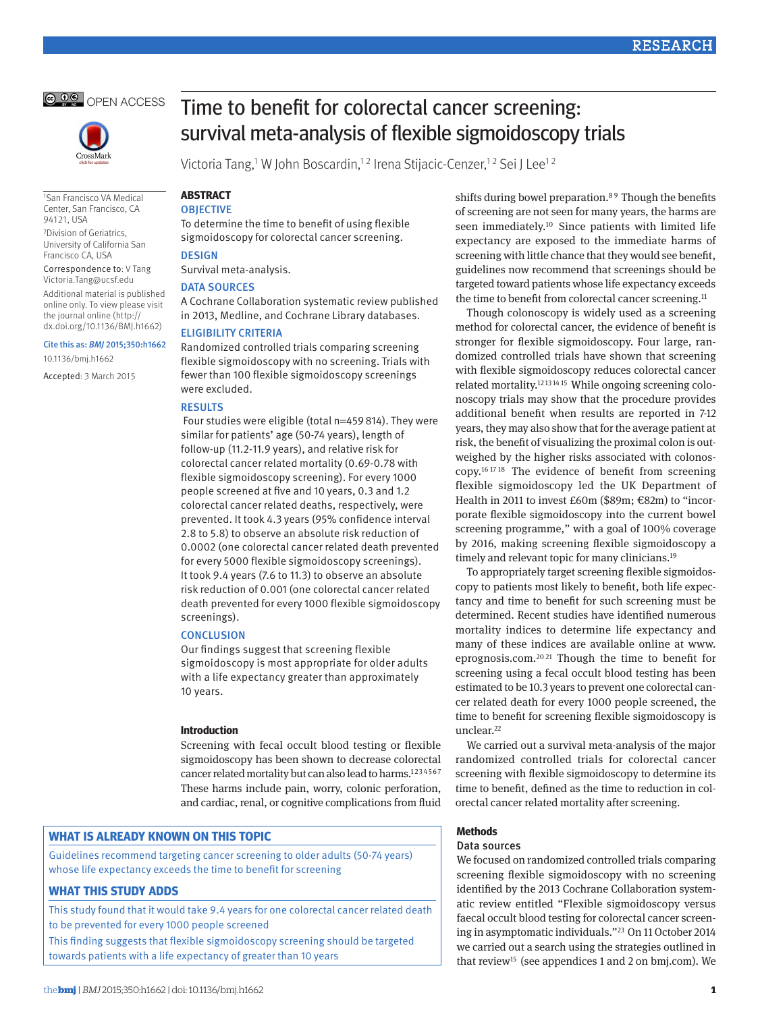



1San Francisco VA Medical Center, San Francisco, CA 94121, USA

2Division of Geriatrics, University of California San Francisco CA, USA

Correspondence to: V Tang Victoria.Tang@ucsf.edu Additional material is published online only. To view please visit the journal online (http:// dx.doi.org/10.1136/BMJ.h1662)

## Cite this as: *BMJ* 2015;350:h1662

10.1136/bmj.h1662

Accepted: 3 March 2015

# Time to benefit for colorectal cancer screening: survival meta-analysis of flexible sigmoidoscopy trials

Victoria Tang,<sup>1</sup> W John Boscardin,<sup>12</sup> Irena Stijacic-Cenzer,<sup>12</sup> Sei J Lee<sup>12</sup>

## **ABSTRACT OBJECTIVE**

To determine the time to benefit of using flexible sigmoidoscopy for colorectal cancer screening. **DESIGN** 

Survival meta-analysis.

## DATA SOURCES

A Cochrane Collaboration systematic review published in 2013, Medline, and Cochrane Library databases.

## Eligibility criteria

Randomized controlled trials comparing screening flexible sigmoidoscopy with no screening. Trials with fewer than 100 flexible sigmoidoscopy screenings were excluded.

## **RESULTS**

 Four studies were eligible (total n=459814). They were similar for patients' age (50-74 years), length of follow-up (11.2-11.9 years), and relative risk for colorectal cancer related mortality (0.69-0.78 with flexible sigmoidoscopy screening). For every 1000 people screened at five and 10 years, 0.3 and 1.2 colorectal cancer related deaths, respectively, were prevented. It took 4.3 years (95% confidence interval 2.8 to 5.8) to observe an absolute risk reduction of 0.0002 (one colorectal cancer related death prevented for every 5000 flexible sigmoidoscopy screenings). It took 9.4 years (7.6 to 11.3) to observe an absolute risk reduction of 0.001 (one colorectal cancer related death prevented for every 1000 flexible sigmoidoscopy screenings).

## **CONCLUSION**

Our findings suggest that screening flexible sigmoidoscopy is most appropriate for older adults with a life expectancy greater than approximately 10 years.

## **Introduction**

Screening with fecal occult blood testing or flexible sigmoidoscopy has been shown to decrease colorectal cancer related mortality but can also lead to harms.<sup>1[2](#page-3-1)[3](#page-3-2)[4](#page-3-3)[5](#page-3-4)[6](#page-3-5)[7](#page-3-6)</sup> These harms include pain, worry, colonic perforation, and cardiac, renal, or cognitive complications from fluid

# **What is already known on this topic**

Guidelines recommend targeting cancer screening to older adults (50-74 years) whose life expectancy exceeds the time to benefit for screening

# **What this study adds**

This study found that it would take 9.4 years for one colorectal cancer related death to be prevented for every 1000 people screened

This finding suggests that flexible sigmoidoscopy screening should be targeted towards patients with a life expectancy of greater than 10 years

shifts during bowel preparation.<sup>8[9](#page-3-8)</sup> Though the benefits of screening are not seen for many years, the harms are seen immediately.<sup>[10](#page-3-9)</sup> Since patients with limited life expectancy are exposed to the immediate harms of screening with little chance that they would see benefit, guidelines now recommend that screenings should be targeted toward patients whose life expectancy exceeds the time to benefit from colorectal cancer screening.<sup>[11](#page-3-10)</sup>

Though colonoscopy is widely used as a screening method for colorectal cancer, the evidence of benefit is stronger for flexible sigmoidoscopy. Four large, randomized controlled trials have shown that screening with flexible sigmoidoscopy reduces colorectal cancer related mortality[.12](#page-3-11) [13](#page-3-12) [14](#page-3-13) [15](#page-3-14) While ongoing screening colonoscopy trials may show that the procedure provides additional benefit when results are reported in 7-12 years, they may also show that for the average patient at risk, the benefit of visualizing the proximal colon is outweighed by the higher risks associated with colonoscopy[.16](#page-3-15) [17](#page-4-0) [18](#page-4-1) The evidence of benefit from screening flexible sigmoidoscopy led the UK Department of Health in 2011 to invest £60m (\$89m; €82m) to "incorporate flexible sigmoidoscopy into the current bowel screening programme," with a goal of 100% coverage by 2016, making screening flexible sigmoidoscopy a timely and relevant topic for many clinicians.<sup>19</sup>

To appropriately target screening flexible sigmoidoscopy to patients most likely to benefit, both life expectancy and time to benefit for such screening must be determined. Recent studies have identified numerous mortality indices to determine life expectancy and many of these indices are available online at [www.](http://www.eprognosis.com/) [eprognosis.com](http://www.eprognosis.com/)[.20](#page-4-3) [21](#page-4-4) Though the time to benefit for screening using a fecal occult blood testing has been estimated to be 10.3 years to prevent one colorectal cancer related death for every 1000 people screened, the time to benefit for screening flexible sigmoidoscopy is unclear.<sup>[22](#page-4-5)</sup>

We carried out a survival meta-analysis of the major randomized controlled trials for colorectal cancer screening with flexible sigmoidoscopy to determine its time to benefit, defined as the time to reduction in colorectal cancer related mortality after screening.

# **Methods**

## Data sources

We focused on randomized controlled trials comparing screening flexible sigmoidoscopy with no screening identified by the 2013 Cochrane Collaboration systematic review entitled "Flexible sigmoidoscopy versus faecal occult blood testing for colorectal cancer screening in asymptomatic individuals.["23](#page-4-6) On 11 October 2014 we carried out a search using the strategies outlined in that review<sup>[15](#page-3-14)</sup> (see appendices 1 and 2 on bmj.com). We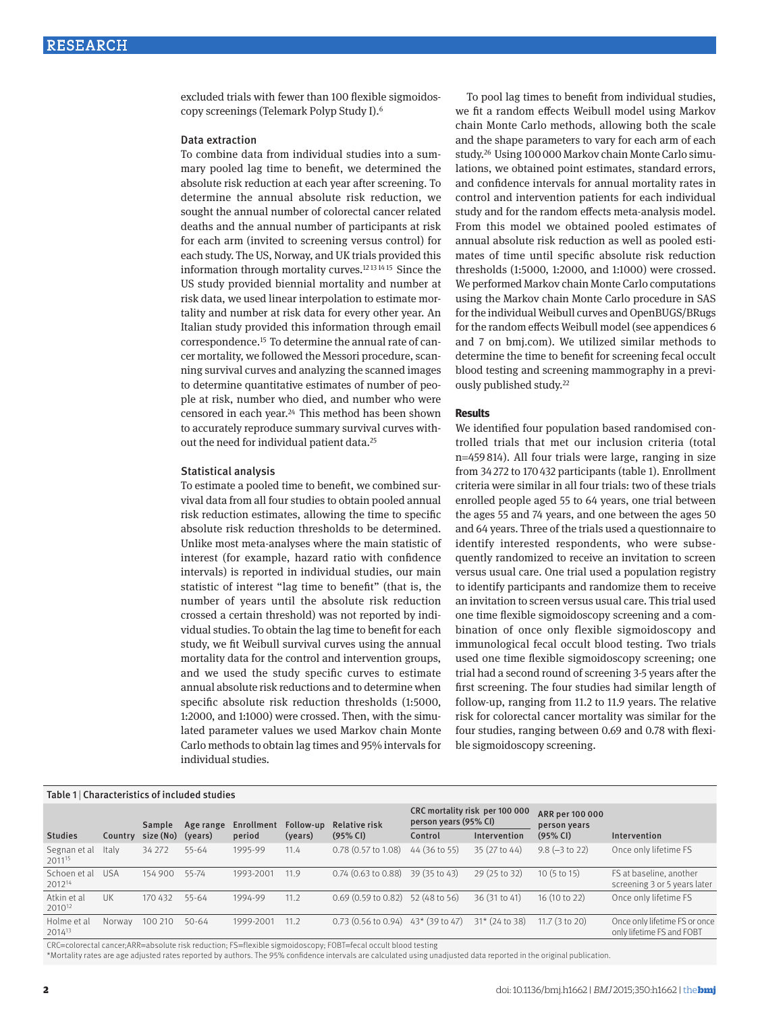excluded trials with fewer than 100 flexible sigmoidoscopy screenings (Telemark Polyp Study I)[.6](#page-3-5)

## Data extraction

To combine data from individual studies into a summary pooled lag time to benefit, we determined the absolute risk reduction at each year after screening. To determine the annual absolute risk reduction, we sought the annual number of colorectal cancer related deaths and the annual number of participants at risk for each arm (invited to screening versus control) for each study. The US, Norway, and UK trials provided this information through mortality curves[.12](#page-3-11) [13](#page-3-12) [14](#page-3-13) [15](#page-3-14) Since the US study provided biennial mortality and number at risk data, we used linear interpolation to estimate mortality and number at risk data for every other year. An Italian study provided this information through email correspondence.[15](#page-3-14) To determine the annual rate of cancer mortality, we followed the Messori procedure, scanning survival curves and analyzing the scanned images to determine quantitative estimates of number of people at risk, number who died, and number who were censored in each year.[24](#page-4-7) This method has been shown to accurately reproduce summary survival curves without the need for individual patient data[.25](#page-4-8)

#### Statistical analysis

To estimate a pooled time to benefit, we combined survival data from all four studies to obtain pooled annual risk reduction estimates, allowing the time to specific absolute risk reduction thresholds to be determined. Unlike most meta-analyses where the main statistic of interest (for example, hazard ratio with confidence intervals) is reported in individual studies, our main statistic of interest "lag time to benefit" (that is, the number of years until the absolute risk reduction crossed a certain threshold) was not reported by individual studies. To obtain the lag time to benefit for each study, we fit Weibull survival curves using the annual mortality data for the control and intervention groups, and we used the study specific curves to estimate annual absolute risk reductions and to determine when specific absolute risk reduction thresholds (1:5000, 1:2000, and 1:1000) were crossed. Then, with the simulated parameter values we used Markov chain Monte Carlo methods to obtain lag times and 95% intervals for individual studies.

To pool lag times to benefit from individual studies, we fit a random effects Weibull model using Markov chain Monte Carlo methods, allowing both the scale and the shape parameters to vary for each arm of each study[.26](#page-4-9) Using 100000 Markov chain Monte Carlo simulations, we obtained point estimates, standard errors, and confidence intervals for annual mortality rates in control and intervention patients for each individual study and for the random effects meta-analysis model. From this model we obtained pooled estimates of annual absolute risk reduction as well as pooled estimates of time until specific absolute risk reduction thresholds (1:5000, 1:2000, and 1:1000) were crossed. We performed Markov chain Monte Carlo computations using the Markov chain Monte Carlo procedure in SAS for the individual Weibull curves and OpenBUGS/BRugs for the random effects Weibull model (see appendices 6 and 7 on bmj.com). We utilized similar methods to determine the time to benefit for screening fecal occult blood testing and screening mammography in a previously published study[.22](#page-4-5)

#### **Results**

We identified four population based randomised controlled trials that met our inclusion criteria (total n=459 814). All four trials were large, ranging in size from 34272 to 170432 participants (table 1). Enrollment criteria were similar in all four trials: two of these trials enrolled people aged 55 to 64 years, one trial between the ages 55 and 74 years, and one between the ages 50 and 64 years. Three of the trials used a questionnaire to identify interested respondents, who were subsequently randomized to receive an invitation to screen versus usual care. One trial used a population registry to identify participants and randomize them to receive an invitation to screen versus usual care. This trial used one time flexible sigmoidoscopy screening and a combination of once only flexible sigmoidoscopy and immunological fecal occult blood testing. Two trials used one time flexible sigmoidoscopy screening; one trial had a second round of screening 3-5 years after the first screening. The four studies had similar length of follow-up, ranging from 11.2 to 11.9 years. The relative risk for colorectal cancer mortality was similar for the four studies, ranging between 0.69 and 0.78 with flexible sigmoidoscopy screening.

| Table 1   Characteristics of included studies |            |           |           |            |           |                                      |                                                         |                 |                                 |                                                            |  |
|-----------------------------------------------|------------|-----------|-----------|------------|-----------|--------------------------------------|---------------------------------------------------------|-----------------|---------------------------------|------------------------------------------------------------|--|
|                                               |            | Sample    | Age range | Enrollment | Follow-up | <b>Relative risk</b>                 | CRC mortality risk per 100 000<br>person years (95% CI) |                 | ARR per 100 000<br>person years |                                                            |  |
| <b>Studies</b>                                | Country    | size (No) | (years)   | period     | (years)   | (95% CI)                             | Control                                                 | Intervention    | $(95\% \text{ Cl})$             | Intervention                                               |  |
| Segnan et al<br>2011 <sup>15</sup>            | Italv      | 34 27 2   | 55-64     | 1995-99    | 11.4      | $0.78$ (0.57 to 1.08)                | 44 (36 to 55)                                           | 35 (27 to 44)   | $9.8 (-3 to 22)$                | Once only lifetime FS                                      |  |
| Schoen et al<br>201214                        | <b>USA</b> | 154 900   | 55-74     | 1993-2001  | 11.9      | $0.74$ $(0.63$ to $0.88)$            | 39 (35 to 43)                                           | 29 (25 to 32)   | 10(5 to 15)                     | FS at baseline, another<br>screening 3 or 5 years later    |  |
| Atkin et al<br>2010 <sup>12</sup>             | UK         | 170 432   | 55-64     | 1994-99    | 11.2      | $0.69(0.59 \text{ to } 0.82)$        | 52 (48 to 56)                                           | 36 (31 to 41)   | 16 (10 to 22)                   | Once only lifetime FS                                      |  |
| Holme et al<br>2014 <sup>13</sup>             | Norway     | 100 210   | $50 - 64$ | 1999-2001  | 11.2      | $0.73$ (0.56 to 0.94) 43* (39 to 47) |                                                         | $31*(24 to 38)$ | 11.7 $(3 to 20)$                | Once only lifetime FS or once<br>only lifetime FS and FOBT |  |

CRC=colorectal cancer;ARR=absolute risk reduction; FS=flexible sigmoidoscopy; FOBT=fecal occult blood testing

\*Mortality rates are age adjusted rates reported by authors. The 95% confidence intervals are calculated using unadjusted data reported in the original publication.

#### 2 doi: 10.1136/bmj.h1662 | BMJ 2015;350:h1662 | the bmj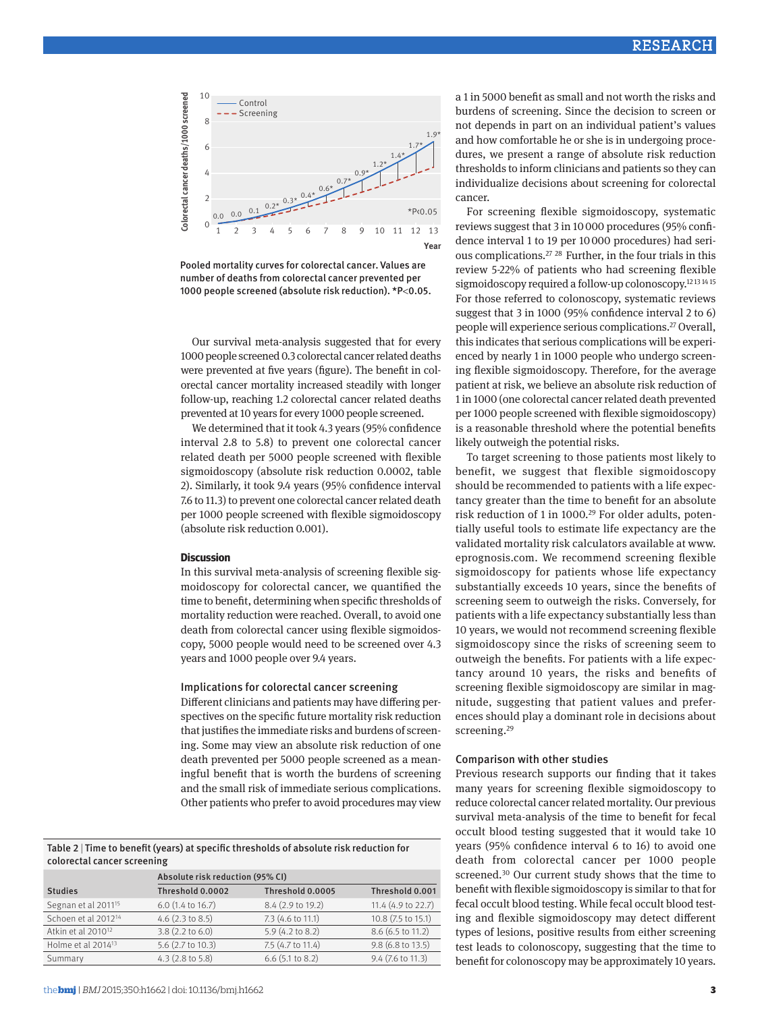

Pooled mortality curves for colorectal cancer. Values are number of deaths from colorectal cancer prevented per 1000 people screened (absolute risk reduction). \*P<0.05.

Our survival meta-analysis suggested that for every 1000 people screened 0.3 colorectal cancer related deaths were prevented at five years (figure). The benefit in colorectal cancer mortality increased steadily with longer follow-up, reaching 1.2 colorectal cancer related deaths prevented at 10 years for every 1000 people screened.

We determined that it took 4.3 years (95% confidence interval 2.8 to 5.8) to prevent one colorectal cancer related death per 5000 people screened with flexible sigmoidoscopy (absolute risk reduction 0.0002, table 2). Similarly, it took 9.4 years (95% confidence interval 7.6 to 11.3) to prevent one colorectal cancer related death per 1000 people screened with flexible sigmoidoscopy (absolute risk reduction 0.001).

## **Discussion**

In this survival meta-analysis of screening flexible sigmoidoscopy for colorectal cancer, we quantified the time to benefit, determining when specific thresholds of mortality reduction were reached. Overall, to avoid one death from colorectal cancer using flexible sigmoidoscopy, 5000 people would need to be screened over 4.3 years and 1000 people over 9.4 years.

## Implications for colorectal cancer screening

Different clinicians and patients may have differing perspectives on the specific future mortality risk reduction that justifies the immediate risks and burdens of screening. Some may view an absolute risk reduction of one death prevented per 5000 people screened as a meaningful benefit that is worth the burdens of screening and the small risk of immediate serious complications. Other patients who prefer to avoid procedures may view

Table 2 | Time to benefit (years) at specific thresholds of absolute risk reduction for colorectal cancer screening

|                                 | Absolute risk reduction (95% CI) |                    |                    |  |  |  |  |
|---------------------------------|----------------------------------|--------------------|--------------------|--|--|--|--|
| <b>Studies</b>                  | Threshold 0.0002                 | Threshold 0.0005   | Threshold 0.001    |  |  |  |  |
| Segnan et al 2011 <sup>15</sup> | $6.0$ (1.4 to 16.7)              | 8.4 (2.9 to 19.2)  | 11.4 (4.9 to 22.7) |  |  |  |  |
| Schoen et al 2012 <sup>14</sup> | $4.6$ (2.3 to 8.5)               | 7.3 (4.6 to 11.1)  | 10.8 (7.5 to 15.1) |  |  |  |  |
| Atkin et al 2010 <sup>12</sup>  | $3.8(2.2 \text{ to } 6.0)$       | 5.9 (4.2 to 8.2)   | 8.6 (6.5 to 11.2)  |  |  |  |  |
| Holme et al 2014 <sup>13</sup>  | 5.6 (2.7 to 10.3)                | 7.5 (4.7 to 11.4)  | 9.8 (6.8 to 13.5)  |  |  |  |  |
| Summary                         | $4.3$ (2.8 to 5.8)               | $6.6$ (5.1 to 8.2) | 9.4 (7.6 to 11.3)  |  |  |  |  |

a 1 in 5000 benefit as small and not worth the risks and burdens of screening. Since the decision to screen or not depends in part on an individual patient's values and how comfortable he or she is in undergoing procedures, we present a range of absolute risk reduction thresholds to inform clinicians and patients so they can individualize decisions about screening for colorectal cancer.

For screening flexible sigmoidoscopy, systematic reviews suggest that 3 in 10000 procedures (95% confidence interval 1 to 19 per 10000 procedures) had serious complications.[27](#page-4-10) [28](#page-4-11) Further, in the four trials in this review 5-22% of patients who had screening flexible sigmoidoscopy required a follow-up colonoscopy.<sup>12[13](#page-3-12) [14](#page-3-13)[15](#page-3-14)</sup> For those referred to colonoscopy, systematic reviews suggest that 3 in 1000 (95% confidence interval 2 to 6) people will experience serious complications[.27](#page-4-10) Overall, this indicates that serious complications will be experienced by nearly 1 in 1000 people who undergo screening flexible sigmoidoscopy. Therefore, for the average patient at risk, we believe an absolute risk reduction of 1 in 1000 (one colorectal cancer related death prevented per 1000 people screened with flexible sigmoidoscopy) is a reasonable threshold where the potential benefits likely outweigh the potential risks.

To target screening to those patients most likely to benefit, we suggest that flexible sigmoidoscopy should be recommended to patients with a life expectancy greater than the time to benefit for an absolute risk reduction of 1 in 1000[.29](#page-4-12) For older adults, potentially useful tools to estimate life expectancy are the validated mortality risk calculators available at [www.](http://www.eprognosis.com/) [eprognosis.com](http://www.eprognosis.com/). We recommend screening flexible sigmoidoscopy for patients whose life expectancy substantially exceeds 10 years, since the benefits of screening seem to outweigh the risks. Conversely, for patients with a life expectancy substantially less than 10 years, we would not recommend screening flexible sigmoidoscopy since the risks of screening seem to outweigh the benefits. For patients with a life expectancy around 10 years, the risks and benefits of screening flexible sigmoidoscopy are similar in magnitude, suggesting that patient values and preferences should play a dominant role in decisions about screening.<sup>[29](#page-4-12)</sup>

## Comparison with other studies

Previous research supports our finding that it takes many years for screening flexible sigmoidoscopy to reduce colorectal cancer related mortality. Our previous survival meta-analysis of the time to benefit for fecal occult blood testing suggested that it would take 10 years (95% confidence interval 6 to 16) to avoid one death from colorectal cancer per 1000 people screened.<sup>30</sup> Our current study shows that the time to benefit with flexible sigmoidoscopy is similar to that for fecal occult blood testing. While fecal occult blood testing and flexible sigmoidoscopy may detect different types of lesions, positive results from either screening test leads to colonoscopy, suggesting that the time to benefit for colonoscopy may be approximately 10 years.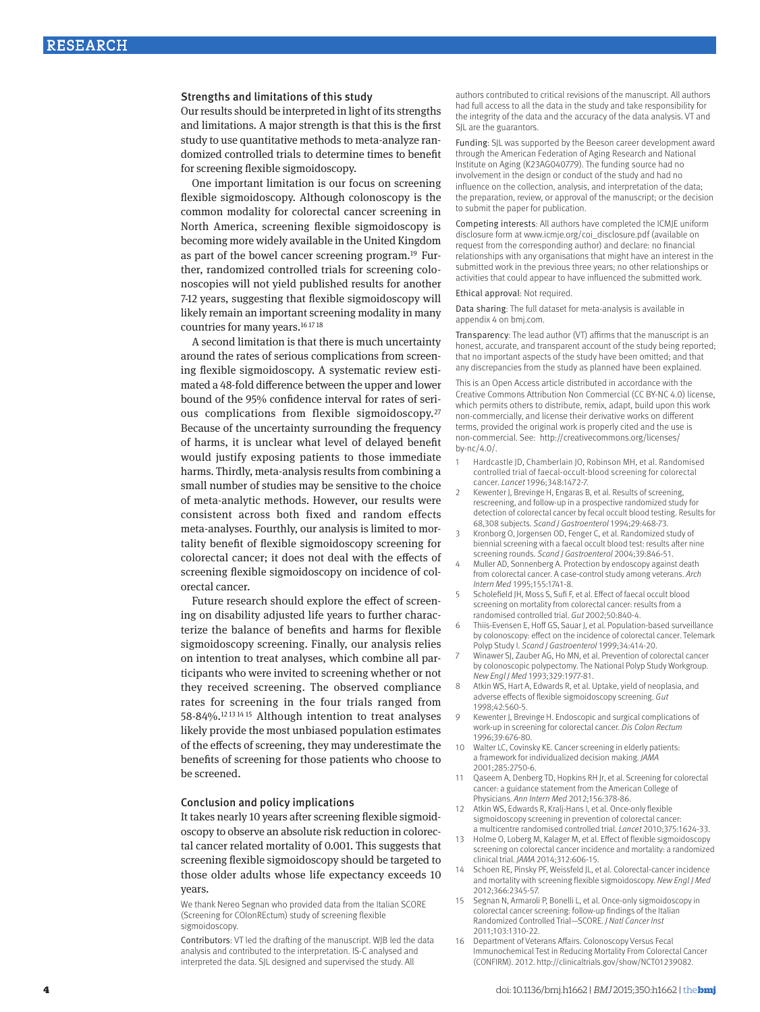#### Strengths and limitations of this study

Our results should be interpreted in light of its strengths and limitations. A major strength is that this is the first study to use quantitative methods to meta-analyze randomized controlled trials to determine times to benefit for screening flexible sigmoidoscopy.

One important limitation is our focus on screening flexible sigmoidoscopy. Although colonoscopy is the common modality for colorectal cancer screening in North America, screening flexible sigmoidoscopy is becoming more widely available in the United Kingdom as part of the bowel cancer screening program.[19](#page-4-2) Further, randomized controlled trials for screening colonoscopies will not yield published results for another 7-12 years, suggesting that flexible sigmoidoscopy will likely remain an important screening modality in many countries for many years.[16](#page-3-15) [17](#page-4-0) [18](#page-4-1)

A second limitation is that there is much uncertainty around the rates of serious complications from screening flexible sigmoidoscopy. A systematic review estimated a 48-fold difference between the upper and lower bound of the 95% confidence interval for rates of serious complications from flexible sigmoidoscopy[.27](#page-4-10) Because of the uncertainty surrounding the frequency of harms, it is unclear what level of delayed benefit would justify exposing patients to those immediate harms. Thirdly, meta-analysis results from combining a small number of studies may be sensitive to the choice of meta-analytic methods. However, our results were consistent across both fixed and random effects meta-analyses. Fourthly, our analysis is limited to mortality benefit of flexible sigmoidoscopy screening for colorectal cancer; it does not deal with the effects of screening flexible sigmoidoscopy on incidence of colorectal cancer.

Future research should explore the effect of screening on disability adjusted life years to further characterize the balance of benefits and harms for flexible sigmoidoscopy screening. Finally, our analysis relies on intention to treat analyses, which combine all participants who were invited to screening whether or not they received screening. The observed compliance rates for screening in the four trials ranged from 58-84%[.12](#page-3-11) [13](#page-3-12) [14](#page-3-13) [15](#page-3-14) Although intention to treat analyses likely provide the most unbiased population estimates of the effects of screening, they may underestimate the benefits of screening for those patients who choose to be screened.

# Conclusion and policy implications

It takes nearly 10 years after screening flexible sigmoidoscopy to observe an absolute risk reduction in colorectal cancer related mortality of 0.001. This suggests that screening flexible sigmoidoscopy should be targeted to those older adults whose life expectancy exceeds 10

## years.

We thank Nereo Segnan who provided data from the Italian SCORE (Screening for COlonREctum) study of screening flexible sigmoidoscopy.

Contributors: VT led the drafting of the manuscript. WJB led the data analysis and contributed to the interpretation. IS-C analysed and interpreted the data. SJL designed and supervised the study. All

authors contributed to critical revisions of the manuscript. All authors had full access to all the data in the study and take responsibility for the integrity of the data and the accuracy of the data analysis. VT and SJL are the guarantors.

Funding: SJL was supported by the Beeson career development award through the American Federation of Aging Research and National Institute on Aging (K23AG040779). The funding source had no involvement in the design or conduct of the study and had no influence on the collection, analysis, and interpretation of the data; the preparation, review, or approval of the manuscript; or the decision to submit the paper for publication.

Competing interests: All authors have completed the ICMJE uniform disclosure form at [www.icmje.org/coi\\_disclosure.pdf](http://www.icmje.org/coi_disclosure.pdf) (available on request from the corresponding author) and declare: no financial relationships with any organisations that might have an interest in the submitted work in the previous three years; no other relationships or activities that could appear to have influenced the submitted work.

#### Ethical approval: Not required.

Data sharing: The full dataset for meta-analysis is available in appendix 4 on bmj.com.

Transparency: The lead author (VT) affirms that the manuscript is an honest, accurate, and transparent account of the study being reported; that no important aspects of the study have been omitted; and that any discrepancies from the study as planned have been explained.

This is an Open Access article distributed in accordance with the Creative Commons Attribution Non Commercial (CC BY-NC 4.0) license, which permits others to distribute, remix, adapt, build upon this work non-commercially, and license their derivative works on different terms, provided the original work is properly cited and the use is non-commercial. See: http://creativecommons.org/licenses/ by-nc/4.0/.

- <span id="page-3-0"></span>Hardcastle JD, Chamberlain JO, Robinson MH, et al. Randomised controlled trial of faecal-occult-blood screening for colorectal cancer. *Lancet* 1996;348:1472-7.
- <span id="page-3-1"></span>Kewenter J, Brevinge H, Engaras B, et al. Results of screening, rescreening, and follow-up in a prospective randomized study for detection of colorectal cancer by fecal occult blood testing. Results for 68,308 subjects. *Scand J Gastroenterol* 1994;29:468-73.
- <span id="page-3-2"></span>3 Kronborg O, Jorgensen OD, Fenger C, et al. Randomized study of biennial screening with a faecal occult blood test: results after nine screening rounds. *Scand J Gastroenterol* 2004;39:846-51.
- <span id="page-3-3"></span>Muller AD, Sonnenberg A. Protection by endoscopy against death from colorectal cancer. A case-control study among veterans. *Arch Intern Med* 1995;155:1741-8.
- <span id="page-3-4"></span>5 Scholefield JH, Moss S, Sufi F, et al. Effect of faecal occult blood screening on mortality from colorectal cancer: results from a randomised controlled trial. *Gut* 2002;50:840-4.
- <span id="page-3-5"></span>Thiis-Evensen E, Hoff GS, Sauar J, et al. Population-based surveillance by colonoscopy: effect on the incidence of colorectal cancer. Telemark Polyp Study I. *Scand J Gastroenterol* 1999;34:414-20.
- <span id="page-3-6"></span>7 Winawer SJ, Zauber AG, Ho MN, et al. Prevention of colorectal cancer by colonoscopic polypectomy. The National Polyp Study Workgroup. *New Engl J Med* 1993;329:1977-81.
- <span id="page-3-7"></span>Atkin WS, Hart A, Edwards R, et al. Uptake, yield of neoplasia, and adverse effects of flexible sigmoidoscopy screening. *Gut* 1998;42:560-5.
- <span id="page-3-8"></span>Kewenter J, Brevinge H. Endoscopic and surgical complications of work-up in screening for colorectal cancer. *Dis Colon Rectum* 1996;39:676-80.
- <span id="page-3-9"></span>10 Walter LC, Covinsky KE. Cancer screening in elderly patients: a framework for individualized decision making. *JAMA* 2001;285:2750-6.
- <span id="page-3-10"></span>11 Qaseem A, Denberg TD, Hopkins RH Jr, et al. Screening for colorectal cancer: a guidance statement from the American College of Physicians. *Ann Intern Med* 2012;156:378-86.
- <span id="page-3-11"></span>12 Atkin WS, Edwards R, Kralj-Hans I, et al. Once-only flexible sigmoidoscopy screening in prevention of colorectal cancer: a multicentre randomised controlled trial. *Lancet* 2010;375:1624-33.
- <span id="page-3-12"></span>13 Holme O, Loberg M, Kalager M, et al. Effect of flexible sigmoidoscopy screening on colorectal cancer incidence and mortality: a randomized clinical trial. *JAMA* 2014;312:606-15.
- <span id="page-3-13"></span>14 Schoen RE, Pinsky PF, Weissfeld JL, et al. Colorectal-cancer incidence and mortality with screening flexible sigmoidoscopy. *New Engl J Med* 2012;366:2345-57.
- <span id="page-3-14"></span>15 Segnan N, Armaroli P, Bonelli L, et al. Once-only sigmoidoscopy in colorectal cancer screening: follow-up findings of the Italian Randomized Controlled Trial—SCORE. *J Natl Cancer Inst* 2011;103:1310-22.
- <span id="page-3-15"></span>16 Department of Veterans Affairs. Colonoscopy Versus Fecal Immunochemical Test in Reducing Mortality From Colorectal Cancer (CONFIRM). 2012.<http://clinicaltrials.gov/show/NCT01239082>.